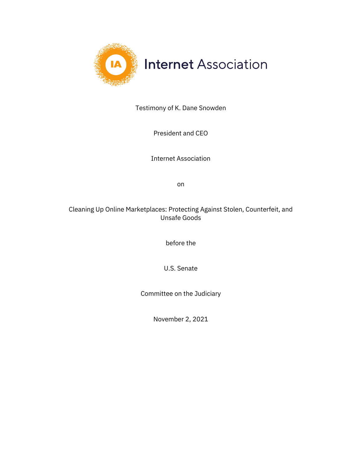

Testimony of K. Dane Snowden

President and CEO

Internet Association

on

Cleaning Up Online Marketplaces: Protecting Against Stolen, Counterfeit, and Unsafe Goods

before the

U.S. Senate

Committee on the Judiciary

November 2, 2021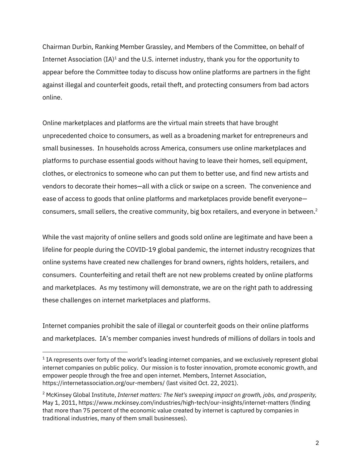Chairman Durbin, Ranking Member Grassley, and Members of the Committee, on behalf of Internet Association  $(IA)^1$  and the U.S. internet industry, thank you for the opportunity to appear before the Committee today to discuss how online platforms are partners in the fight against illegal and counterfeit goods, retail theft, and protecting consumers from bad actors online.

Online marketplaces and platforms are the virtual main streets that have brought unprecedented choice to consumers, as well as a broadening market for entrepreneurs and small businesses. In households across America, consumers use online marketplaces and platforms to purchase essential goods without having to leave their homes, sell equipment, clothes, or electronics to someone who can put them to better use, and find new artists and vendors to decorate their homes—all with a click or swipe on a screen. The convenience and ease of access to goods that online platforms and marketplaces provide benefit everyone consumers, small sellers, the creative community, big box retailers, and everyone in between.<sup>2</sup>

While the vast majority of online sellers and goods sold online are legitimate and have been a lifeline for people during the COVID-19 global pandemic, the internet industry recognizes that online systems have created new challenges for brand owners, rights holders, retailers, and consumers. Counterfeiting and retail theft are not new problems created by online platforms and marketplaces. As my testimony will demonstrate, we are on the right path to addressing these challenges on internet marketplaces and platforms.

Internet companies prohibit the sale of illegal or counterfeit goods on their online platforms and marketplaces. IA's member companies invest hundreds of millions of dollars in tools and

 $<sup>1</sup>$  IA represents over forty of the world's leading internet companies, and we exclusively represent global</sup> internet companies on public policy. Our mission is to foster innovation, promote economic growth, and empower people through the free and open internet. Members, Internet Association, https://internetassociation.org/our-members/ (last visited Oct. 22, 2021).

<sup>2</sup> McKinsey Global Institute, *Internet matters: The Net's sweeping impact on growth, jobs, and prosperity,*  May 1, 2011, https://www.mckinsey.com/industries/high-tech/our-insights/internet-matters (finding that more than 75 percent of the economic value created by internet is captured by companies in traditional industries, many of them small businesses).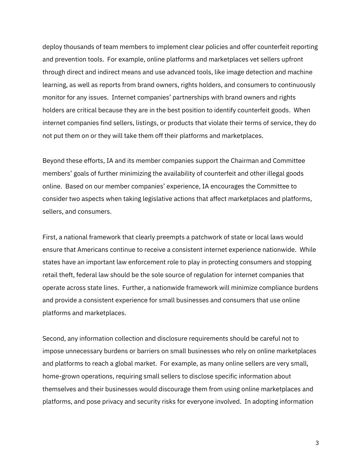deploy thousands of team members to implement clear policies and offer counterfeit reporting and prevention tools. For example, online platforms and marketplaces vet sellers upfront through direct and indirect means and use advanced tools, like image detection and machine learning, as well as reports from brand owners, rights holders, and consumers to continuously monitor for any issues. Internet companies' partnerships with brand owners and rights holders are critical because they are in the best position to identify counterfeit goods. When internet companies find sellers, listings, or products that violate their terms of service, they do not put them on or they will take them off their platforms and marketplaces.

Beyond these efforts, IA and its member companies support the Chairman and Committee members' goals of further minimizing the availability of counterfeit and other illegal goods online. Based on our member companies' experience, IA encourages the Committee to consider two aspects when taking legislative actions that affect marketplaces and platforms, sellers, and consumers.

First, a national framework that clearly preempts a patchwork of state or local laws would ensure that Americans continue to receive a consistent internet experience nationwide. While states have an important law enforcement role to play in protecting consumers and stopping retail theft, federal law should be the sole source of regulation for internet companies that operate across state lines. Further, a nationwide framework will minimize compliance burdens and provide a consistent experience for small businesses and consumers that use online platforms and marketplaces.

Second, any information collection and disclosure requirements should be careful not to impose unnecessary burdens or barriers on small businesses who rely on online marketplaces and platforms to reach a global market. For example, as many online sellers are very small, home-grown operations, requiring small sellers to disclose specific information about themselves and their businesses would discourage them from using online marketplaces and platforms, and pose privacy and security risks for everyone involved. In adopting information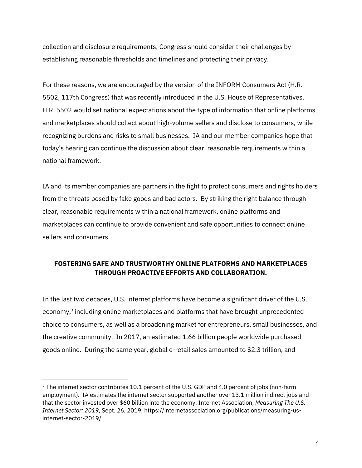collection and disclosure requirements, Congress should consider their challenges by establishing reasonable thresholds and timelines and protecting their privacy.

For these reasons, we are encouraged by the version of the INFORM Consumers Act (H.R. 5502, 117th Congress) that was recently introduced in the U.S. House of Representatives. H.R. 5502 would set national expectations about the type of information that online platforms and marketplaces should collect about high-volume sellers and disclose to consumers, while recognizing burdens and risks to small businesses. IA and our member companies hope that today's hearing can continue the discussion about clear, reasonable requirements within a national framework.

IA and its member companies are partners in the fight to protect consumers and rights holders from the threats posed by fake goods and bad actors. By striking the right balance through clear, reasonable requirements within a national framework, online platforms and marketplaces can continue to provide convenient and safe opportunities to connect online sellers and consumers.

#### **FOSTERING SAFE AND TRUSTWORTHY ONLINE PLATFORMS AND MARKETPLACES THROUGH PROACTIVE EFFORTS AND COLLABORATION.**

In the last two decades, U.S. internet platforms have become a significant driver of the U.S. economy,<sup>3</sup> including online marketplaces and platforms that have brought unprecedented choice to consumers, as well as a broadening market for entrepreneurs, small businesses, and the creative community. In 2017, an estimated 1.66 billion people worldwide purchased goods online. During the same year, global e-retail sales amounted to \$2.3 trillion, and

<sup>&</sup>lt;sup>3</sup> The internet sector contributes 10.1 percent of the U.S. GDP and 4.0 percent of jobs (non-farm employment). IA estimates the internet sector supported another over 13.1 million indirect jobs and that the sector invested over \$60 billion into the economy. Internet Association, *Measuring The U.S. Internet Sector: 2019*, Sept. 26, 2019, https://internetassociation.org/publications/measuring-usinternet-sector-2019/.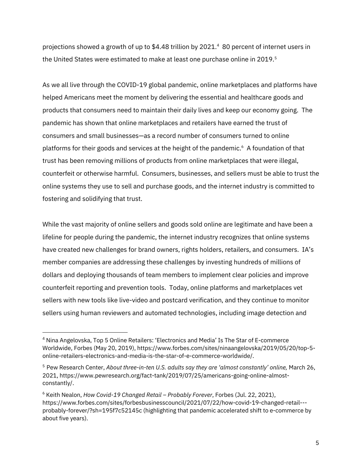projections showed a growth of up to \$4.48 trillion by 2021.<sup>4</sup> 80 percent of internet users in the United States were estimated to make at least one purchase online in 2019.<sup>5</sup>

As we all live through the COVID-19 global pandemic, online marketplaces and platforms have helped Americans meet the moment by delivering the essential and healthcare goods and products that consumers need to maintain their daily lives and keep our economy going. The pandemic has shown that online marketplaces and retailers have earned the trust of consumers and small businesses—as a record number of consumers turned to online platforms for their goods and services at the height of the pandemic.<sup>6</sup> A foundation of that trust has been removing millions of products from online marketplaces that were illegal, counterfeit or otherwise harmful. Consumers, businesses, and sellers must be able to trust the online systems they use to sell and purchase goods, and the internet industry is committed to fostering and solidifying that trust.

While the vast majority of online sellers and goods sold online are legitimate and have been a lifeline for people during the pandemic, the internet industry recognizes that online systems have created new challenges for brand owners, rights holders, retailers, and consumers. IA's member companies are addressing these challenges by investing hundreds of millions of dollars and deploying thousands of team members to implement clear policies and improve counterfeit reporting and prevention tools. Today, online platforms and marketplaces vet sellers with new tools like live-video and postcard verification, and they continue to monitor sellers using human reviewers and automated technologies, including image detection and

<sup>4</sup> Nina Angelovska, Top 5 Online Retailers: 'Electronics and Media' Is The Star of E-commerce Worldwide, Forbes (May 20, 2019), https://www.forbes.com/sites/ninaangelovska/2019/05/20/top-5 online-retailers-electronics-and-media-is-the-star-of-e-commerce-worldwide/.

<sup>5</sup> Pew Research Center, *About three-in-ten U.S. adults say they are 'almost constantly' online,* March 26, 2021, https://www.pewresearch.org/fact-tank/2019/07/25/americans-going-online-almostconstantly/.

<sup>6</sup> Keith Nealon, *How Covid-19 Changed Retail – Probably Forever*, Forbes (Jul. 22, 2021), https://www.forbes.com/sites/forbesbusinesscouncil/2021/07/22/how-covid-19-changed-retail-- probably-forever/?sh=195f7c52145c (highlighting that pandemic accelerated shift to e-commerce by about five years).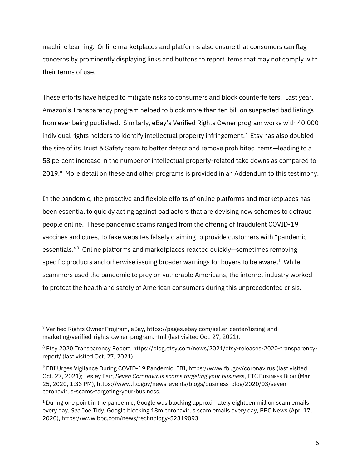machine learning. Online marketplaces and platforms also ensure that consumers can flag concerns by prominently displaying links and buttons to report items that may not comply with their terms of use.

These efforts have helped to mitigate risks to consumers and block counterfeiters. Last year, Amazon's Transparency program helped to block more than ten billion suspected bad listings from ever being published. Similarly, eBay's Verified Rights Owner program works with 40,000 individual rights holders to identify intellectual property infringement.7 Etsy has also doubled the size of its Trust & Safety team to better detect and remove prohibited items—leading to a 58 percent increase in the number of intellectual property-related take downs as compared to 2019.<sup>8</sup> More detail on these and other programs is provided in an Addendum to this testimony.

In the pandemic, the proactive and flexible efforts of online platforms and marketplaces has been essential to quickly acting against bad actors that are devising new schemes to defraud people online. These pandemic scams ranged from the offering of fraudulent COVID-19 vaccines and cures, to fake websites falsely claiming to provide customers with "pandemic essentials."9 Online platforms and marketplaces reacted quickly—sometimes removing specific products and otherwise issuing broader warnings for buyers to be aware. $<sup>1</sup>$  While</sup> scammers used the pandemic to prey on vulnerable Americans, the internet industry worked to protect the health and safety of American consumers during this unprecedented crisis.

<sup>7</sup> Verified Rights Owner Program, eBay, https://pages.ebay.com/seller-center/listing-andmarketing/verified-rights-owner-program.html (last visited Oct. 27, 2021).

<sup>8</sup> Etsy 2020 Transparency Report, https://blog.etsy.com/news/2021/etsy-releases-2020-transparencyreport/ (last visited Oct. 27, 2021).

<sup>&</sup>lt;sup>9</sup> FBI Urges Vigilance During COVID-19 Pandemic, FBI, https://www.fbi.gov/coronavirus (last visited Oct. 27, 2021); Lesley Fair, *Seven Coronavirus scams targeting your business*, FTC BUSINESS BLOG (Mar 25, 2020, 1:33 PM), https://www.ftc.gov/news-events/blogs/business-blog/2020/03/sevencoronavirus-scams-targeting-your-business.

 $1$  During one point in the pandemic, Google was blocking approximately eighteen million scam emails every day*. See* Joe Tidy, Google blocking 18m coronavirus scam emails every day, BBC News (Apr. 17, 2020), https://www.bbc.com/news/technology-52319093.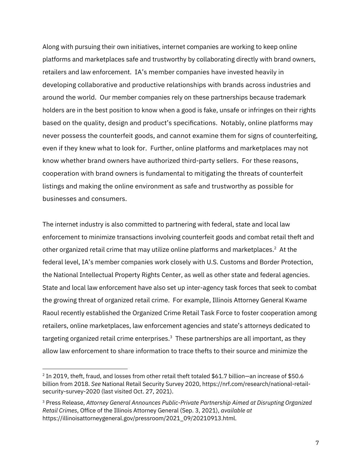Along with pursuing their own initiatives, internet companies are working to keep online platforms and marketplaces safe and trustworthy by collaborating directly with brand owners, retailers and law enforcement. IA's member companies have invested heavily in developing collaborative and productive relationships with brands across industries and around the world. Our member companies rely on these partnerships because trademark holders are in the best position to know when a good is fake, unsafe or infringes on their rights based on the quality, design and product's specifications. Notably, online platforms may never possess the counterfeit goods, and cannot examine them for signs of counterfeiting, even if they knew what to look for. Further, online platforms and marketplaces may not know whether brand owners have authorized third-party sellers. For these reasons, cooperation with brand owners is fundamental to mitigating the threats of counterfeit listings and making the online environment as safe and trustworthy as possible for businesses and consumers.

The internet industry is also committed to partnering with federal, state and local law enforcement to minimize transactions involving counterfeit goods and combat retail theft and other organized retail crime that may utilize online platforms and marketplaces. $2$  At the federal level, IA's member companies work closely with U.S. Customs and Border Protection, the National Intellectual Property Rights Center, as well as other state and federal agencies. State and local law enforcement have also set up inter-agency task forces that seek to combat the growing threat of organized retail crime. For example, Illinois Attorney General Kwame Raoul recently established the Organized Crime Retail Task Force to foster cooperation among retailers, online marketplaces, law enforcement agencies and state's attorneys dedicated to targeting organized retail crime enterprises.<sup>3</sup> These partnerships are all important, as they allow law enforcement to share information to trace thefts to their source and minimize the

<sup>2</sup> In 2019, theft, fraud, and losses from other retail theft totaled \$61.7 billion—an increase of \$50.6 billion from 2018. *See* National Retail Security Survey 2020, https://nrf.com/research/national-retailsecurity-survey-2020 (last visited Oct. 27, 2021).

<sup>3</sup> Press Release, *Attorney General Announces Public-Private Partnership Aimed at Disrupting Organized Retail Crimes*, Office of the Illinois Attorney General (Sep. 3, 2021), *available at*  https://illinoisattorneygeneral.gov/pressroom/2021\_09/20210913.html.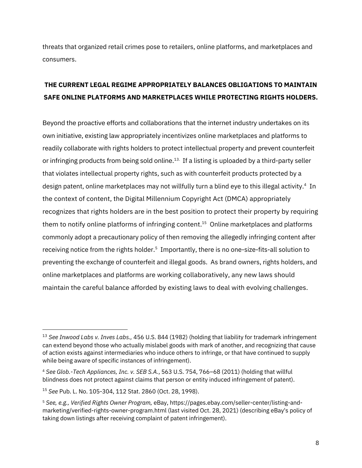threats that organized retail crimes pose to retailers, online platforms, and marketplaces and consumers.

## **THE CURRENT LEGAL REGIME APPROPRIATELY BALANCES OBLIGATIONS TO MAINTAIN SAFE ONLINE PLATFORMS AND MARKETPLACES WHILE PROTECTING RIGHTS HOLDERS.**

Beyond the proactive efforts and collaborations that the internet industry undertakes on its own initiative, existing law appropriately incentivizes online marketplaces and platforms to readily collaborate with rights holders to protect intellectual property and prevent counterfeit or infringing products from being sold online. 13. If a listing is uploaded by a third-party seller that violates intellectual property rights, such as with counterfeit products protected by a design patent, online marketplaces may not willfully turn a blind eye to this illegal activity.<sup>4</sup> In the context of content, the Digital Millennium Copyright Act (DMCA) appropriately recognizes that rights holders are in the best position to protect their property by requiring them to notify online platforms of infringing content.<sup>15</sup> Online marketplaces and platforms commonly adopt a precautionary policy of then removing the allegedly infringing content after receiving notice from the rights holder.<sup>5</sup> Importantly, there is no one-size-fits-all solution to preventing the exchange of counterfeit and illegal goods. As brand owners, rights holders, and online marketplaces and platforms are working collaboratively, any new laws should maintain the careful balance afforded by existing laws to deal with evolving challenges.

<sup>13</sup> *See Inwood Labs v. Inves Labs.,* 456 U.S. 844 (1982) (holding that liability for trademark infringement can extend beyond those who actually mislabel goods with mark of another, and recognizing that cause of action exists against intermediaries who induce others to infringe, or that have continued to supply while being aware of specific instances of infringement).

<sup>4</sup> *See Glob.-Tech Appliances, Inc. v. SEB S.A.*, 563 U.S. 754, 766–68 (2011) (holding that willful blindness does not protect against claims that person or entity induced infringement of patent).

<sup>15</sup> *See* Pub. L. No. 105-304, 112 Stat. 2860 (Oct. 28, 1998).

<sup>5</sup> *See, e.g., Verified Rights Owner Program,* eBay, https://pages.ebay.com/seller-center/listing-andmarketing/verified-rights-owner-program.html (last visited Oct. 28, 2021) (describing eBay's policy of taking down listings after receiving complaint of patent infringement).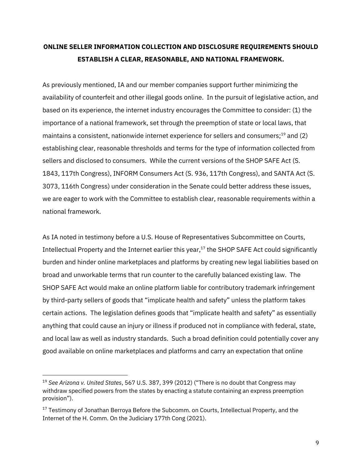# **ONLINE SELLER INFORMATION COLLECTION AND DISCLOSURE REQUIREMENTS SHOULD ESTABLISH A CLEAR, REASONABLE, AND NATIONAL FRAMEWORK.**

As previously mentioned, IA and our member companies support further minimizing the availability of counterfeit and other illegal goods online. In the pursuit of legislative action, and based on its experience, the internet industry encourages the Committee to consider: (1) the importance of a national framework, set through the preemption of state or local laws, that maintains a consistent, nationwide internet experience for sellers and consumers;19 and (2) establishing clear, reasonable thresholds and terms for the type of information collected from sellers and disclosed to consumers. While the current versions of the SHOP SAFE Act (S. 1843, 117th Congress), INFORM Consumers Act (S. 936, 117th Congress), and SANTA Act (S. 3073, 116th Congress) under consideration in the Senate could better address these issues, we are eager to work with the Committee to establish clear, reasonable requirements within a national framework.

As IA noted in testimony before a U.S. House of Representatives Subcommittee on Courts, Intellectual Property and the Internet earlier this year,<sup>17</sup> the SHOP SAFE Act could significantly burden and hinder online marketplaces and platforms by creating new legal liabilities based on broad and unworkable terms that run counter to the carefully balanced existing law. The SHOP SAFE Act would make an online platform liable for contributory trademark infringement by third-party sellers of goods that "implicate health and safety" unless the platform takes certain actions. The legislation defines goods that "implicate health and safety" as essentially anything that could cause an injury or illness if produced not in compliance with federal, state, and local law as well as industry standards. Such a broad definition could potentially cover any good available on online marketplaces and platforms and carry an expectation that online

<sup>19</sup> *See Arizona v. United States*, 567 U.S. 387, 399 (2012) ("There is no doubt that Congress may withdraw specified powers from the states by enacting a statute containing an express preemption provision").

<sup>&</sup>lt;sup>17</sup> Testimony of Jonathan Berroya Before the Subcomm, on Courts, Intellectual Property, and the Internet of the H. Comm. On the Judiciary 177th Cong (2021).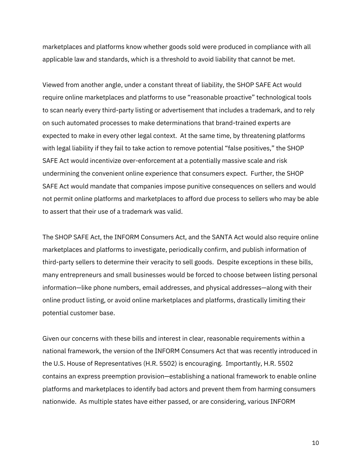marketplaces and platforms know whether goods sold were produced in compliance with all applicable law and standards, which is a threshold to avoid liability that cannot be met.

Viewed from another angle, under a constant threat of liability, the SHOP SAFE Act would require online marketplaces and platforms to use "reasonable proactive" technological tools to scan nearly every third-party listing or advertisement that includes a trademark, and to rely on such automated processes to make determinations that brand-trained experts are expected to make in every other legal context. At the same time, by threatening platforms with legal liability if they fail to take action to remove potential "false positives," the SHOP SAFE Act would incentivize over-enforcement at a potentially massive scale and risk undermining the convenient online experience that consumers expect. Further, the SHOP SAFE Act would mandate that companies impose punitive consequences on sellers and would not permit online platforms and marketplaces to afford due process to sellers who may be able to assert that their use of a trademark was valid.

The SHOP SAFE Act, the INFORM Consumers Act, and the SANTA Act would also require online marketplaces and platforms to investigate, periodically confirm, and publish information of third-party sellers to determine their veracity to sell goods. Despite exceptions in these bills, many entrepreneurs and small businesses would be forced to choose between listing personal information—like phone numbers, email addresses, and physical addresses—along with their online product listing, or avoid online marketplaces and platforms, drastically limiting their potential customer base.

Given our concerns with these bills and interest in clear, reasonable requirements within a national framework, the version of the INFORM Consumers Act that was recently introduced in the U.S. House of Representatives (H.R. 5502) is encouraging. Importantly, H.R. 5502 contains an express preemption provision—establishing a national framework to enable online platforms and marketplaces to identify bad actors and prevent them from harming consumers nationwide. As multiple states have either passed, or are considering, various INFORM

10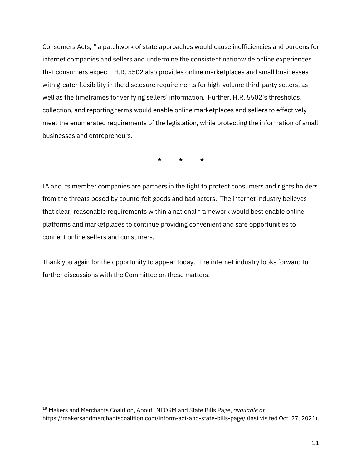Consumers Acts,18 a patchwork of state approaches would cause inefficiencies and burdens for internet companies and sellers and undermine the consistent nationwide online experiences that consumers expect. H.R. 5502 also provides online marketplaces and small businesses with greater flexibility in the disclosure requirements for high-volume third-party sellers, as well as the timeframes for verifying sellers' information. Further, H.R. 5502's thresholds, collection, and reporting terms would enable online marketplaces and sellers to effectively meet the enumerated requirements of the legislation, while protecting the information of small businesses and entrepreneurs.

**\* \* \***

IA and its member companies are partners in the fight to protect consumers and rights holders from the threats posed by counterfeit goods and bad actors. The internet industry believes that clear, reasonable requirements within a national framework would best enable online platforms and marketplaces to continue providing convenient and safe opportunities to connect online sellers and consumers.

Thank you again for the opportunity to appear today. The internet industry looks forward to further discussions with the Committee on these matters.

<sup>18</sup> Makers and Merchants Coalition, About INFORM and State Bills Page, *available at* https://makersandmerchantscoalition.com/inform-act-and-state-bills-page/ (last visited Oct. 27, 2021).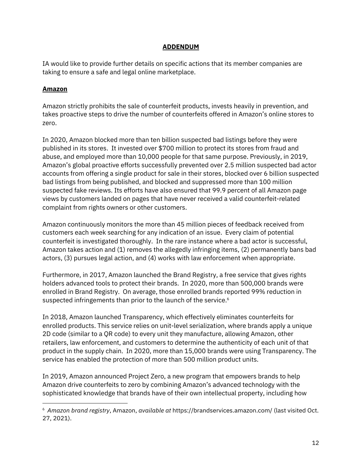#### **ADDENDUM**

IA would like to provide further details on specific actions that its member companies are taking to ensure a safe and legal online marketplace.

#### **Amazon**

Amazon strictly prohibits the sale of counterfeit products, invests heavily in prevention, and takes proactive steps to drive the number of counterfeits offered in Amazon's online stores to zero.

In 2020, Amazon blocked more than ten billion suspected bad listings before they were published in its stores. It invested over \$700 million to protect its stores from fraud and abuse, and employed more than 10,000 people for that same purpose. Previously, in 2019, Amazon's global proactive efforts successfully prevented over 2.5 million suspected bad actor accounts from offering a single product for sale in their stores, blocked over 6 billion suspected bad listings from being published, and blocked and suppressed more than 100 million suspected fake reviews. Its efforts have also ensured that 99.9 percent of all Amazon page views by customers landed on pages that have never received a valid counterfeit-related complaint from rights owners or other customers.

Amazon continuously monitors the more than 45 million pieces of feedback received from customers each week searching for any indication of an issue. Every claim of potential counterfeit is investigated thoroughly. In the rare instance where a bad actor is successful, Amazon takes action and (1) removes the allegedly infringing items, (2) permanently bans bad actors, (3) pursues legal action, and (4) works with law enforcement when appropriate.

Furthermore, in 2017, Amazon launched the Brand Registry, a free service that gives rights holders advanced tools to protect their brands. In 2020, more than 500,000 brands were enrolled in Brand Registry. On average, those enrolled brands reported 99% reduction in suspected infringements than prior to the launch of the service.<sup>6</sup>

In 2018, Amazon launched Transparency, which effectively eliminates counterfeits for enrolled products. This service relies on unit-level serialization, where brands apply a unique 2D code (similar to a QR code) to every unit they manufacture, allowing Amazon, other retailers, law enforcement, and customers to determine the authenticity of each unit of that product in the supply chain. In 2020, more than 15,000 brands were using Transparency. The service has enabled the protection of more than 500 million product units.

In 2019, Amazon announced Project Zero, a new program that empowers brands to help Amazon drive counterfeits to zero by combining Amazon's advanced technology with the sophisticated knowledge that brands have of their own intellectual property, including how

<sup>6</sup> *Amazon brand registry*, Amazon, *available at* https://brandservices.amazon.com/ (last visited Oct. 27, 2021).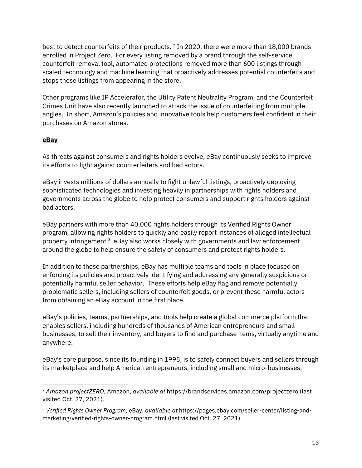best to detect counterfeits of their products. <sup>7</sup> In 2020, there were more than 18,000 brands enrolled in Project Zero. For every listing removed by a brand through the self-service counterfeit removal tool, automated protections removed more than 600 listings through scaled technology and machine learning that proactively addresses potential counterfeits and stops those listings from appearing in the store.

Other programs like IP Accelerator, the Utility Patent Neutrality Program, and the Counterfeit Crimes Unit have also recently launched to attack the issue of counterfeiting from multiple angles. In short, Amazon's policies and innovative tools help customers feel confident in their purchases on Amazon stores.

#### **eBay**

As threats against consumers and rights holders evolve, eBay continuously seeks to improve its efforts to fight against counterfeiters and bad actors.

eBay invests millions of dollars annually to fight unlawful listings, proactively deploying sophisticated technologies and investing heavily in partnerships with rights holders and governments across the globe to help protect consumers and support rights holders against bad actors.

eBay partners with more than 40,000 rights holders through its Verified Rights Owner program, allowing rights holders to quickly and easily report instances of alleged intellectual property infringement.<sup>8</sup> eBay also works closely with governments and law enforcement around the globe to help ensure the safety of consumers and protect rights holders.

In addition to those partnerships, eBay has multiple teams and tools in place focused on enforcing its policies and proactively identifying and addressing any generally suspicious or potentially harmful seller behavior. These efforts help eBay flag and remove potentially problematic sellers, including sellers of counterfeit goods, or prevent these harmful actors from obtaining an eBay account in the first place.

eBay's policies, teams, partnerships, and tools help create a global commerce platform that enables sellers, including hundreds of thousands of American entrepreneurs and small businesses, to sell their inventory, and buyers to find and purchase items, virtually anytime and anywhere.

eBay's core purpose, since its founding in 1995, is to safely connect buyers and sellers through its marketplace and help American entrepreneurs, including small and micro-businesses,

<sup>7</sup> *Amazon projectZERO*, Amazon, *available at* https://brandservices.amazon.com/projectzero (last visited Oct. 27, 2021).

<sup>8</sup> *Verified Rights Owner Program*, eBay, *available at* https://pages.ebay.com/seller-center/listing-andmarketing/verified-rights-owner-program.html (last visited Oct. 27, 2021).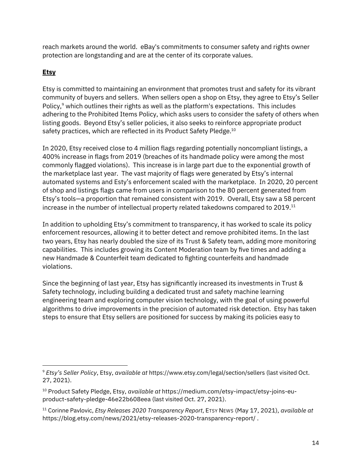reach markets around the world. eBay's commitments to consumer safety and rights owner protection are longstanding and are at the center of its corporate values.

## **Etsy**

Etsy is committed to maintaining an environment that promotes trust and safety for its vibrant community of buyers and sellers. When sellers open a shop on Etsy, they agree to Etsy's Seller Policy,<sup>9</sup> which outlines their rights as well as the platform's expectations. This includes adhering to the Prohibited Items Policy, which asks users to consider the safety of others when listing goods. Beyond Etsy's seller policies, it also seeks to reinforce appropriate product safety practices, which are reflected in its Product Safety Pledge.<sup>10</sup>

In 2020, Etsy received close to 4 million flags regarding potentially noncompliant listings, a 400% increase in flags from 2019 (breaches of its handmade policy were among the most commonly flagged violations). This increase is in large part due to the exponential growth of the marketplace last year. The vast majority of flags were generated by Etsy's internal automated systems and Esty's enforcement scaled with the marketplace. In 2020, 20 percent of shop and listings flags came from users in comparison to the 80 percent generated from Etsy's tools—a proportion that remained consistent with 2019. Overall, Etsy saw a 58 percent increase in the number of intellectual property related takedowns compared to  $2019$ .<sup>11</sup>

In addition to upholding Etsy's commitment to transparency, it has worked to scale its policy enforcement resources, allowing it to better detect and remove prohibited items. In the last two years, Etsy has nearly doubled the size of its Trust & Safety team, adding more monitoring capabilities. This includes growing its Content Moderation team by five times and adding a new Handmade & Counterfeit team dedicated to fighting counterfeits and handmade violations.

Since the beginning of last year, Etsy has significantly increased its investments in Trust & Safety technology, including building a dedicated trust and safety machine learning engineering team and exploring computer vision technology, with the goal of using powerful algorithms to drive improvements in the precision of automated risk detection. Etsy has taken steps to ensure that Etsy sellers are positioned for success by making its policies easy to

<sup>9</sup> *Etsy's Seller Policy*, Etsy, *available at* https://www.etsy.com/legal/section/sellers (last visited Oct. 27, 2021).

<sup>10</sup> Product Safety Pledge, Etsy, *available at* https://medium.com/etsy-impact/etsy-joins-euproduct-safety-pledge-46e22b608eea (last visited Oct. 27, 2021).

<sup>11</sup> Corinne Pavlovic, *Etsy Releases 2020 Transparency Report*, ETSY NEWS (May 17, 2021), *available at* https://blog.etsy.com/news/2021/etsy-releases-2020-transparency-report/ .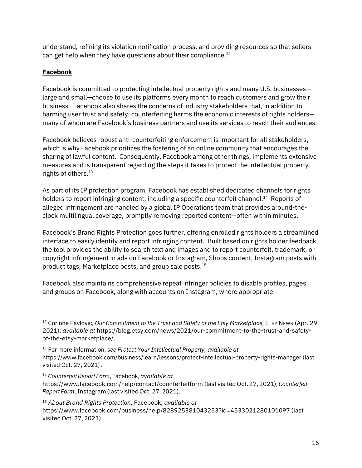understand, refining its violation notification process, and providing resources so that sellers can get help when they have questions about their compliance.<sup>12</sup>

### **Facebook**

Facebook is committed to protecting intellectual property rights and many U.S. businesses large and small—choose to use its platforms every month to reach customers and grow their business. Facebook also shares the concerns of industry stakeholders that, in addition to harming user trust and safety, counterfeiting harms the economic interests of rights holders many of whom are Facebook's business partners and use its services to reach their audiences.

Facebook believes robust anti-counterfeiting enforcement is important for all stakeholders, which is why Facebook prioritizes the fostering of an online community that encourages the sharing of lawful content. Consequently, Facebook among other things, implements extensive measures and is transparent regarding the steps it takes to protect the intellectual property rights of others.<sup>13</sup>

As part of its IP protection program, Facebook has established dedicated channels for rights holders to report infringing content, including a specific counterfeit channel.<sup>14</sup> Reports of alleged infringement are handled by a global IP Operations team that provides around-theclock multilingual coverage, promptly removing reported content—often within minutes.

Facebook's Brand Rights Protection goes further, offering enrolled rights holders a streamlined interface to easily identify and report infringing content. Built based on rights holder feedback, the tool provides the ability to search text and images and to report counterfeit, trademark, or copyright infringement in ads on Facebook or Instagram, Shops content, Instagram posts with product tags, Marketplace posts, and group sale posts.15

Facebook also maintains comprehensive repeat infringer policies to disable profiles, pages, and groups on Facebook, along with accounts on Instagram, where appropriate.

<sup>12</sup> Corinne Pavlovic, *Our Commitment to the Trust and Safety of the Etsy Marketplace*, ETSY NEWS (Apr. 29, 2021), *available at* https://blog.etsy.com/news/2021/our-commitment-to-the-trust-and-safetyof-the-etsy-marketplace/.

<sup>13</sup> For more information, *see Protect Your Intellectual Property, available at* https://www.facebook.com/business/learn/lessons/protect-intellectual-property-rights-manager (last visited Oct. 27, 2021) *.* 

<sup>14</sup> *CounterfeitReport Form*,Facebook,*available at* https://www.facebook.com/help/contact/counterfeitform (last visited Oct. 27, 2021);*Counterfeit Report Form*, Instagram (last visited Oct. 27, 2021).

<sup>15</sup> *About Brand Rights Protection*, Facebook, *available at* https://www.facebook.com/business/help/828925381043253?id=4533021280101097 (last visited Oct. 27, 2021).